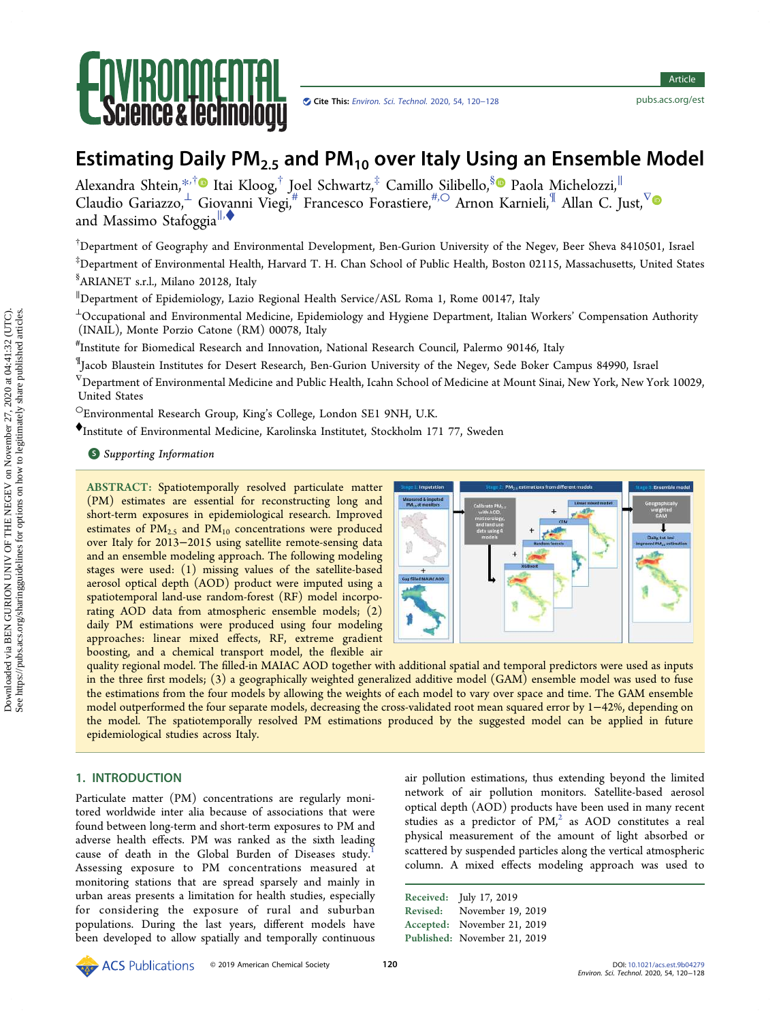

Article Article

# Estimating Daily  $PM<sub>2.5</sub>$  and  $PM<sub>10</sub>$  over Italy Using an Ensemble Model

Alexandra Shtein,[\\*](#page-6-0)<sup>,†</sup>● Itai Kloog,<sup>†</sup> Joel Schwartz,<sup>‡</sup> Camillo Silibello,<sup>[§](#page-6-0)</sup>● Paola Michelozzi,<sup>∥</sup> Claudio Gariazzo,  $\stackrel{1}{\sim}$  Giovanni Viegi,# Francesco Forastiere, $\stackrel{\#, \bigcirc}{\sim}$  Arnon Karnieli, $^\mathbb{T}$  Allan C. Just, $^\nabla$ and Massimo Stafoggia<sup>||,◆</sup>

† Department of Geography and Environmental Development, Ben-Gurion University of the Negev, Beer Sheva 8410501, Israel

‡ Department of Environmental Health, Harvard T. H. Chan School of Public Health, Boston 02115, Massachusetts, United States § ARIANET s.r.l., Milano 20128, Italy

∥ Department of Epidemiology, Lazio Regional Health Service/ASL Roma 1, Rome 00147, Italy

 $\perp$ Occupational and Environmental Medicine, Epidemiology and Hygiene Department, Italian Workers' Compensation Authority (INAIL), Monte Porzio Catone (RM) 00078, Italy

# Institute for Biomedical Research and Innovation, National Research Council, Palermo 90146, Italy

¶ Jacob Blaustein Institutes for Desert Research, Ben-Gurion University of the Negev, Sede Boker Campus 84990, Israel

 $^{\nabla}$ Department of Environmental Medicine and Public Health, Icahn School of Medicine at Mount Sinai, New York, New York 10029, United States

○Environmental Research Group, King's College, London SE1 9NH, U.K.

<sup>⧫</sup>Institute of Environmental Medicine, Karolinska Institutet, Stockholm 171 77, Sweden

**S** [Supporting Information](#page-6-0)

ABSTRACT: Spatiotemporally resolved particulate matter (PM) estimates are essential for reconstructing long and short-term exposures in epidemiological research. Improved estimates of  $PM_{2.5}$  and  $PM_{10}$  concentrations were produced over Italy for 2013−2015 using satellite remote-sensing data and an ensemble modeling approach. The following modeling stages were used: (1) missing values of the satellite-based aerosol optical depth (AOD) product were imputed using a spatiotemporal land-use random-forest (RF) model incorporating AOD data from atmospheric ensemble models; (2) daily PM estimations were produced using four modeling approaches: linear mixed effects, RF, extreme gradient boosting, and a chemical transport model, the flexible air



quality regional model. The filled-in MAIAC AOD together with additional spatial and temporal predictors were used as inputs in the three first models; (3) a geographically weighted generalized additive model (GAM) ensemble model was used to fuse the estimations from the four models by allowing the weights of each model to vary over space and time. The GAM ensemble model outperformed the four separate models, decreasing the cross-validated root mean squared error by 1−42%, depending on the model. The spatiotemporally resolved PM estimations produced by the suggested model can be applied in future epidemiological studies across Italy.

# 1. INTRODUCTION

Particulate matter (PM) concentrations are regularly monitored worldwide inter alia because of associations that were found between long-term and short-term exposures to PM and adverse health effects. PM was ranked as the sixth leading cause of death in the Global Burden of Diseases study.<sup>[1](#page-7-0)</sup> Assessing exposure to PM concentrations measured at monitoring stations that are spread sparsely and mainly in urban areas presents a limitation for health studies, especially for considering the exposure of rural and suburban populations. During the last years, different models have been developed to allow spatially and temporally continuous

air pollution estimations, thus extending beyond the limited network of air pollution monitors. Satellite-based aerosol optical depth (AOD) products have been used in many recent studies as a predictor of  $PM<sub>1</sub><sup>2</sup>$  as AOD constitutes a real physical measurement of the amount of light absorbed or scattered by suspended particles along the vertical atmospheric column. A mixed effects modeling approach was used to

Received: July 17, 2019 Revised: November 19, 2019 Accepted: November 21, 2019 Published: November 21, 2019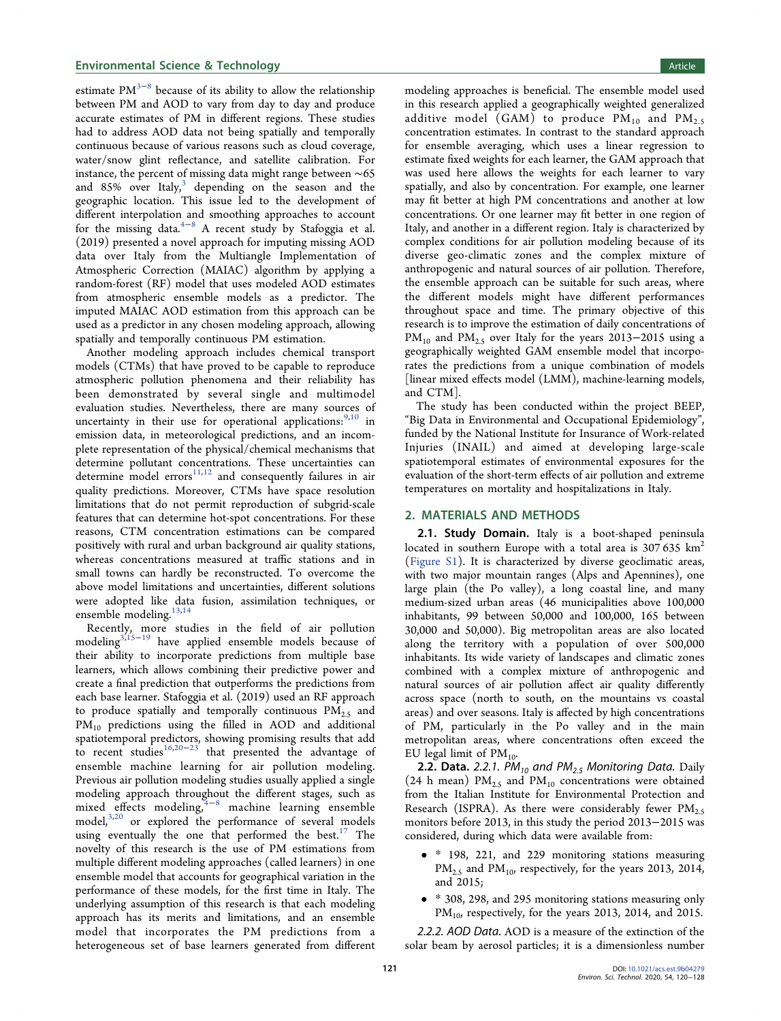estimate  $PM^{3-8}$  $PM^{3-8}$  $PM^{3-8}$  $PM^{3-8}$  $PM^{3-8}$  because of its ability to allow the relationship between PM and AOD to vary from day to day and produce accurate estimates of PM in different regions. These studies had to address AOD data not being spatially and temporally continuous because of various reasons such as cloud coverage, water/snow glint reflectance, and satellite calibration. For instance, the percent of missing data might range between ∼65 and  $85\%$  over Italy,<sup>3</sup> depending on the season and the geographic location. This issue led to the development of different interpolation and smoothing approaches to account for the missing data. $4-8$  $4-8$  $4-8$  A recent study by Stafoggia et al. (2019) presented a novel approach for imputing missing AOD data over Italy from the Multiangle Implementation of Atmospheric Correction (MAIAC) algorithm by applying a random-forest (RF) model that uses modeled AOD estimates from atmospheric ensemble models as a predictor. The imputed MAIAC AOD estimation from this approach can be used as a predictor in any chosen modeling approach, allowing spatially and temporally continuous PM estimation.

Another modeling approach includes chemical transport models (CTMs) that have proved to be capable to reproduce atmospheric pollution phenomena and their reliability has been demonstrated by several single and multimodel evaluation studies. Nevertheless, there are many sources of uncertainty in their use for operational applications:  $9,10$  in emission data, in meteorological predictions, and an incomplete representation of the physical/chemical mechanisms that determine pollutant concentrations. These uncertainties can determine model errors<sup>11,[12](#page-7-0)</sup> and consequently failures in air quality predictions. Moreover, CTMs have space resolution limitations that do not permit reproduction of subgrid-scale features that can determine hot-spot concentrations. For these reasons, CTM concentration estimations can be compared positively with rural and urban background air quality stations, whereas concentrations measured at traffic stations and in small towns can hardly be reconstructed. To overcome the above model limitations and uncertainties, different solutions were adopted like data fusion, assimilation techniques, or ensemble modeling.<sup>13,[14](#page-7-0)</sup>

Recently, more studies in the field of air pollution modelin[g3,15](#page-7-0)<sup>−</sup>[19](#page-7-0) have applied ensemble models because of their ability to incorporate predictions from multiple base learners, which allows combining their predictive power and create a final prediction that outperforms the predictions from each base learner. Stafoggia et al. (2019) used an RF approach to produce spatially and temporally continuous  $PM_{2.5}$  and PM<sub>10</sub> predictions using the filled in AOD and additional spatiotemporal predictors, showing promising results that add to recent studies[16](#page-7-0),[20](#page-7-0)<sup>−</sup>[23](#page-7-0) that presented the advantage of ensemble machine learning for air pollution modeling. Previous air pollution modeling studies usually applied a single modeling approach throughout the different stages, such as mixed effects modeling, $4-8$  $4-8$  $4-8$  machine learning ensemble model,<sup>3,[20](#page-7-0)</sup> or explored the performance of several models using eventually the one that performed the best. $17$  The novelty of this research is the use of PM estimations from multiple different modeling approaches (called learners) in one ensemble model that accounts for geographical variation in the performance of these models, for the first time in Italy. The underlying assumption of this research is that each modeling approach has its merits and limitations, and an ensemble model that incorporates the PM predictions from a heterogeneous set of base learners generated from different modeling approaches is beneficial. The ensemble model used in this research applied a geographically weighted generalized additive model (GAM) to produce  $PM_{10}$  and  $PM_{2.5}$ concentration estimates. In contrast to the standard approach for ensemble averaging, which uses a linear regression to estimate fixed weights for each learner, the GAM approach that was used here allows the weights for each learner to vary spatially, and also by concentration. For example, one learner may fit better at high PM concentrations and another at low concentrations. Or one learner may fit better in one region of Italy, and another in a different region. Italy is characterized by complex conditions for air pollution modeling because of its diverse geo-climatic zones and the complex mixture of anthropogenic and natural sources of air pollution. Therefore, the ensemble approach can be suitable for such areas, where the different models might have different performances throughout space and time. The primary objective of this research is to improve the estimation of daily concentrations of PM<sub>10</sub> and PM<sub>2.5</sub> over Italy for the years 2013–2015 using a geographically weighted GAM ensemble model that incorporates the predictions from a unique combination of models [linear mixed effects model (LMM), machine-learning models, and CTM].

The study has been conducted within the project BEEP, "Big Data in Environmental and Occupational Epidemiology", funded by the National Institute for Insurance of Work-related Injuries (INAIL) and aimed at developing large-scale spatiotemporal estimates of environmental exposures for the evaluation of the short-term effects of air pollution and extreme temperatures on mortality and hospitalizations in Italy.

#### 2. MATERIALS AND METHODS

2.1. Study Domain. Italy is a boot-shaped peninsula located in southern Europe with a total area is  $307635 \text{ km}^2$ ([Figure S1\)](http://pubs.acs.org/doi/suppl/10.1021/acs.est.9b04279/suppl_file/es9b04279_si_001.pdf). It is characterized by diverse geoclimatic areas, with two major mountain ranges (Alps and Apennines), one large plain (the Po valley), a long coastal line, and many medium-sized urban areas (46 municipalities above 100,000 inhabitants, 99 between 50,000 and 100,000, 165 between 30,000 and 50,000). Big metropolitan areas are also located along the territory with a population of over 500,000 inhabitants. Its wide variety of landscapes and climatic zones combined with a complex mixture of anthropogenic and natural sources of air pollution affect air quality differently across space (north to south, on the mountains vs coastal areas) and over seasons. Italy is affected by high concentrations of PM, particularly in the Po valley and in the main metropolitan areas, where concentrations often exceed the EU legal limit of  $PM_{10}$ .

**2.2. Data.** 2.2.1. PM<sub>10</sub> and PM<sub>2.5</sub> Monitoring Data. Daily (24 h mean)  $PM_{2.5}$  and  $PM_{10}$  concentrations were obtained from the Italian Institute for Environmental Protection and Research (ISPRA). As there were considerably fewer  $PM_{2.5}$ monitors before 2013, in this study the period 2013−2015 was considered, during which data were available from:

- \* 198, 221, and 229 monitoring stations measuring  $PM_{2.5}$  and  $PM_{10}$ , respectively, for the years 2013, 2014, and 2015;
- \* 308, 298, and 295 monitoring stations measuring only  $PM_{10}$ , respectively, for the years 2013, 2014, and 2015.

2.2.2. AOD Data. AOD is a measure of the extinction of the solar beam by aerosol particles; it is a dimensionless number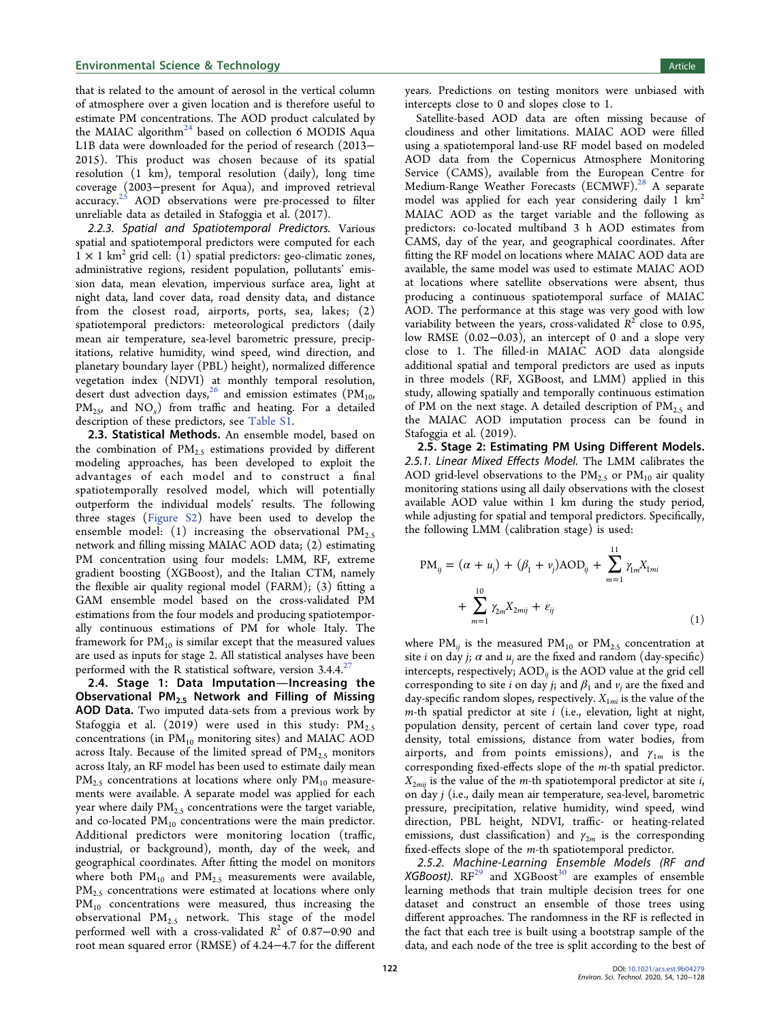#### <span id="page-2-0"></span>**Environmental Science & Technology Article** Article and Article and Article and Article and Article and Article

that is related to the amount of aerosol in the vertical column of atmosphere over a given location and is therefore useful to estimate PM concentrations. The AOD product calculated by the MAIAC algorithm<sup>[24](#page-7-0)</sup> based on collection 6 MODIS Aqua L1B data were downloaded for the period of research (2013− 2015). This product was chosen because of its spatial resolution (1 km), temporal resolution (daily), long time coverage (2003−present for Aqua), and improved retrieval accuracy.<sup>25</sup> AOD observations were pre-processed to filter unreliable data as detailed in Stafoggia et al. (2017).

2.2.3. Spatial and Spatiotemporal Predictors. Various spatial and spatiotemporal predictors were computed for each  $1 \times 1$  km<sup>2</sup> grid cell: (1) spatial predictors: geo-climatic zones, administrative regions, resident population, pollutants' emission data, mean elevation, impervious surface area, light at night data, land cover data, road density data, and distance from the closest road, airports, ports, sea, lakes; (2) spatiotemporal predictors: meteorological predictors (daily mean air temperature, sea-level barometric pressure, precipitations, relative humidity, wind speed, wind direction, and planetary boundary layer (PBL) height), normalized difference vegetation index (NDVI) at monthly temporal resolution, desert dust advection days,<sup>[26](#page-7-0)</sup> and emission estimates ( $PM_{10}$ ,  $PM_{25}$ , and  $NO_x$ ) from traffic and heating. For a detailed description of these predictors, see [Table S1.](http://pubs.acs.org/doi/suppl/10.1021/acs.est.9b04279/suppl_file/es9b04279_si_001.pdf)

2.3. Statistical Methods. An ensemble model, based on the combination of  $PM_{2.5}$  estimations provided by different modeling approaches, has been developed to exploit the advantages of each model and to construct a final spatiotemporally resolved model, which will potentially outperform the individual models' results. The following three stages [\(Figure S2](http://pubs.acs.org/doi/suppl/10.1021/acs.est.9b04279/suppl_file/es9b04279_si_001.pdf)) have been used to develop the ensemble model: (1) increasing the observational  $PM_{2.5}$ network and filling missing MAIAC AOD data; (2) estimating PM concentration using four models: LMM, RF, extreme gradient boosting (XGBoost), and the Italian CTM, namely the flexible air quality regional model (FARM); (3) fitting a GAM ensemble model based on the cross-validated PM estimations from the four models and producing spatiotemporally continuous estimations of PM for whole Italy. The framework for  $PM_{10}$  is similar except that the measured values are used as inputs for stage 2. All statistical analyses have been performed with the R statistical software, version  $3.4.4$ <sup>[27](#page-7-0)</sup>

2.4. Stage 1: Data Imputation-Increasing the Observational PM<sub>2.5</sub> Network and Filling of Missing AOD Data. Two imputed data-sets from a previous work by Stafoggia et al. (2019) were used in this study:  $PM_{2.5}$ concentrations (in  $PM_{10}$  monitoring sites) and MAIAC AOD across Italy. Because of the limited spread of  $PM_{2.5}$  monitors across Italy, an RF model has been used to estimate daily mean  $PM_{2.5}$  concentrations at locations where only  $PM_{10}$  measurements were available. A separate model was applied for each year where daily  $PM_{2.5}$  concentrations were the target variable, and co-located  $PM_{10}$  concentrations were the main predictor. Additional predictors were monitoring location (traffic, industrial, or background), month, day of the week, and geographical coordinates. After fitting the model on monitors where both  $PM_{10}$  and  $PM_{2.5}$  measurements were available,  $PM_{2.5}$  concentrations were estimated at locations where only  $PM_{10}$  concentrations were measured, thus increasing the observational  $PM_{2.5}$  network. This stage of the model performed well with a cross-validated  $R^2$  of 0.87–0.90 and root mean squared error (RMSE) of 4.24−4.7 for the different

years. Predictions on testing monitors were unbiased with intercepts close to 0 and slopes close to 1.

Satellite-based AOD data are often missing because of cloudiness and other limitations. MAIAC AOD were filled using a spatiotemporal land-use RF model based on modeled AOD data from the Copernicus Atmosphere Monitoring Service (CAMS), available from the European Centre for Medium-Range Weather Forecasts (ECMWF).<sup>[28](#page-7-0)</sup> A separate model was applied for each year considering daily  $1 \text{ km}^2$ MAIAC AOD as the target variable and the following as predictors: co-located multiband 3 h AOD estimates from CAMS, day of the year, and geographical coordinates. After fitting the RF model on locations where MAIAC AOD data are available, the same model was used to estimate MAIAC AOD at locations where satellite observations were absent, thus producing a continuous spatiotemporal surface of MAIAC AOD. The performance at this stage was very good with low variability between the years, cross-validated  $R^2$  close to 0.95, low RMSE (0.02−0.03), an intercept of 0 and a slope very close to 1. The filled-in MAIAC AOD data alongside additional spatial and temporal predictors are used as inputs in three models (RF, XGBoost, and LMM) applied in this study, allowing spatially and temporally continuous estimation of PM on the next stage. A detailed description of  $PM_{2.5}$  and the MAIAC AOD imputation process can be found in Stafoggia et al. (2019).

2.5. Stage 2: Estimating PM Using Different Models. 2.5.1. Linear Mixed Effects Model. The LMM calibrates the AOD grid-level observations to the  $PM_{2.5}$  or  $PM_{10}$  air quality monitoring stations using all daily observations with the closest available AOD value within 1 km during the study period, while adjusting for spatial and temporal predictors. Specifically, the following LMM (calibration stage) is used:

$$
PM_{ij} = (\alpha + u_j) + (\beta_1 + v_j) AOD_{ij} + \sum_{m=1}^{11} \gamma_{lm} X_{1mi}
$$
  
+ 
$$
\sum_{m=1}^{10} \gamma_{2m} X_{2mij} + \varepsilon_{ij}
$$
 (1)

where  $PM_{ij}$  is the measured  $PM_{10}$  or  $PM_{2.5}$  concentration at site *i* on day *j*;  $\alpha$  and  $u_i$  are the fixed and random (day-specific) intercepts, respectively;  $AOD_{ii}$  is the  $AOD$  value at the grid cell corresponding to site *i* on day *j*; and  $\beta_1$  and  $\nu_i$  are the fixed and day-specific random slopes, respectively.  $X_{1mi}$  is the value of the  $m$ -th spatial predictor at site  $i$  (i.e., elevation, light at night, population density, percent of certain land cover type, road density, total emissions, distance from water bodies, from airports, and from points emissions), and  $\gamma_{1m}$  is the corresponding fixed-effects slope of the m-th spatial predictor.  $X_{2mij}$  is the value of the *m*-th spatiotemporal predictor at site *i*, on day j (i.e., daily mean air temperature, sea-level, barometric pressure, precipitation, relative humidity, wind speed, wind direction, PBL height, NDVI, traffic- or heating-related emissions, dust classification) and  $\gamma_{2m}$  is the corresponding fixed-effects slope of the m-th spatiotemporal predictor.

2.5.2. Machine-Learning Ensemble Models (RF and  $XGBoost$ ).  $RF<sup>29</sup>$  $RF<sup>29</sup>$  $RF<sup>29</sup>$  and  $XGBoost<sup>30</sup>$  $XGBoost<sup>30</sup>$  $XGBoost<sup>30</sup>$  are examples of ensemble learning methods that train multiple decision trees for one dataset and construct an ensemble of those trees using different approaches. The randomness in the RF is reflected in the fact that each tree is built using a bootstrap sample of the data, and each node of the tree is split according to the best of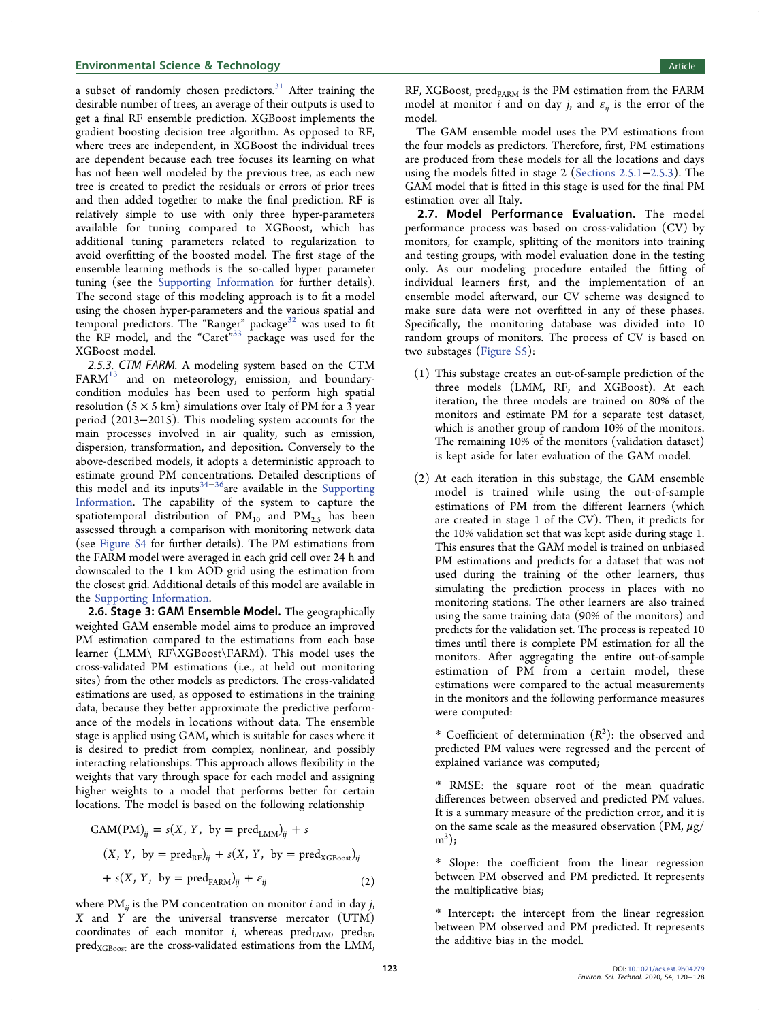#### **Environmental Science & Technology Article** Article and Article and Article and Article and Article and Article

a subset of randomly chosen predictors. $31$  After training the desirable number of trees, an average of their outputs is used to get a final RF ensemble prediction. XGBoost implements the gradient boosting decision tree algorithm. As opposed to RF, where trees are independent, in XGBoost the individual trees are dependent because each tree focuses its learning on what has not been well modeled by the previous tree, as each new tree is created to predict the residuals or errors of prior trees and then added together to make the final prediction. RF is relatively simple to use with only three hyper-parameters available for tuning compared to XGBoost, which has additional tuning parameters related to regularization to avoid overfitting of the boosted model. The first stage of the ensemble learning methods is the so-called hyper parameter tuning (see the [Supporting Information](http://pubs.acs.org/doi/suppl/10.1021/acs.est.9b04279/suppl_file/es9b04279_si_001.pdf) for further details). The second stage of this modeling approach is to fit a model using the chosen hyper-parameters and the various spatial and temporal predictors. The "Ranger" package<sup>32</sup> was used to fit the RF model, and the "Caret"<sup>[33](#page-8-0)</sup> package was used for the XGBoost model.

2.5.3. CTM FARM. A modeling system based on the CTM  $FARM<sup>13</sup>$  $FARM<sup>13</sup>$  $FARM<sup>13</sup>$  and on meteorology, emission, and boundarycondition modules has been used to perform high spatial resolution  $(5 \times 5 \text{ km})$  simulations over Italy of PM for a 3 year period (2013−2015). This modeling system accounts for the main processes involved in air quality, such as emission, dispersion, transformation, and deposition. Conversely to the above-described models, it adopts a deterministic approach to estimate ground PM concentrations. Detailed descriptions of this model and its inputs<sup>[34](#page-8-0)-[36](#page-8-0)</sup>are available in the [Supporting](http://pubs.acs.org/doi/suppl/10.1021/acs.est.9b04279/suppl_file/es9b04279_si_001.pdf) [Information](http://pubs.acs.org/doi/suppl/10.1021/acs.est.9b04279/suppl_file/es9b04279_si_001.pdf). The capability of the system to capture the spatiotemporal distribution of  $PM_{10}$  and  $PM_{2.5}$  has been assessed through a comparison with monitoring network data (see [Figure S4](http://pubs.acs.org/doi/suppl/10.1021/acs.est.9b04279/suppl_file/es9b04279_si_001.pdf) for further details). The PM estimations from the FARM model were averaged in each grid cell over 24 h and downscaled to the 1 km AOD grid using the estimation from the closest grid. Additional details of this model are available in the [Supporting Information](http://pubs.acs.org/doi/suppl/10.1021/acs.est.9b04279/suppl_file/es9b04279_si_001.pdf).

2.6. Stage 3: GAM Ensemble Model. The geographically weighted GAM ensemble model aims to produce an improved PM estimation compared to the estimations from each base learner (LMM\ RF\XGBoost\FARM). This model uses the cross-validated PM estimations (i.e., at held out monitoring sites) from the other models as predictors. The cross-validated estimations are used, as opposed to estimations in the training data, because they better approximate the predictive performance of the models in locations without data. The ensemble stage is applied using GAM, which is suitable for cases where it is desired to predict from complex, nonlinear, and possibly interacting relationships. This approach allows flexibility in the weights that vary through space for each model and assigning higher weights to a model that performs better for certain locations. The model is based on the following relationship

$$
GAM(PM)_{ij} = s(X, Y, by = pred_{LMM})_{ij} + s
$$
  
(X, Y, by = pred<sub>RF</sub>)<sub>ij</sub> + s(X, Y, by = pred<sub>XGBoost</sub>)<sub>ij</sub>  
+ s(X, Y, by = pred<sub>FARM</sub>)<sub>ij</sub> + \varepsilon<sub>ij</sub> (2)

where  $PM_{ij}$  is the PM concentration on monitor *i* and in day *j*,  $X$  and  $Y$  are the universal transverse mercator (UTM) coordinates of each monitor *i*, whereas  $pred_{LMM}$ ,  $pred_{RF}$ ,  $pred_{XGBoost}$  are the cross-validated estimations from the LMM,

RF, XGBoost, pred<sub>FARM</sub> is the PM estimation from the FARM model at monitor *i* and on day *j*, and  $\varepsilon_{ii}$  is the error of the model.

The GAM ensemble model uses the PM estimations from the four models as predictors. Therefore, first, PM estimations are produced from these models for all the locations and days using the models fitted in stage 2 [\(Sections 2.5.1](#page-2-0)−2.5.3). The GAM model that is fitted in this stage is used for the final PM estimation over all Italy.

2.7. Model Performance Evaluation. The model performance process was based on cross-validation (CV) by monitors, for example, splitting of the monitors into training and testing groups, with model evaluation done in the testing only. As our modeling procedure entailed the fitting of individual learners first, and the implementation of an ensemble model afterward, our CV scheme was designed to make sure data were not overfitted in any of these phases. Specifically, the monitoring database was divided into 10 random groups of monitors. The process of CV is based on two substages [\(Figure S5](http://pubs.acs.org/doi/suppl/10.1021/acs.est.9b04279/suppl_file/es9b04279_si_001.pdf)):

- (1) This substage creates an out-of-sample prediction of the three models (LMM, RF, and XGBoost). At each iteration, the three models are trained on 80% of the monitors and estimate PM for a separate test dataset, which is another group of random 10% of the monitors. The remaining 10% of the monitors (validation dataset) is kept aside for later evaluation of the GAM model.
- (2) At each iteration in this substage, the GAM ensemble model is trained while using the out-of-sample estimations of PM from the different learners (which are created in stage 1 of the CV). Then, it predicts for the 10% validation set that was kept aside during stage 1. This ensures that the GAM model is trained on unbiased PM estimations and predicts for a dataset that was not used during the training of the other learners, thus simulating the prediction process in places with no monitoring stations. The other learners are also trained using the same training data (90% of the monitors) and predicts for the validation set. The process is repeated 10 times until there is complete PM estimation for all the monitors. After aggregating the entire out-of-sample estimation of PM from a certain model, these estimations were compared to the actual measurements in the monitors and the following performance measures were computed:

\* Coefficient of determination  $(R^2)$ : the observed and predicted PM values were regressed and the percent of explained variance was computed;

\* RMSE: the square root of the mean quadratic differences between observed and predicted PM values. It is a summary measure of the prediction error, and it is on the same scale as the measured observation (PM,  $\mu$ g/  $m^3$ );

\* Slope: the coefficient from the linear regression between PM observed and PM predicted. It represents the multiplicative bias;

\* Intercept: the intercept from the linear regression between PM observed and PM predicted. It represents the additive bias in the model.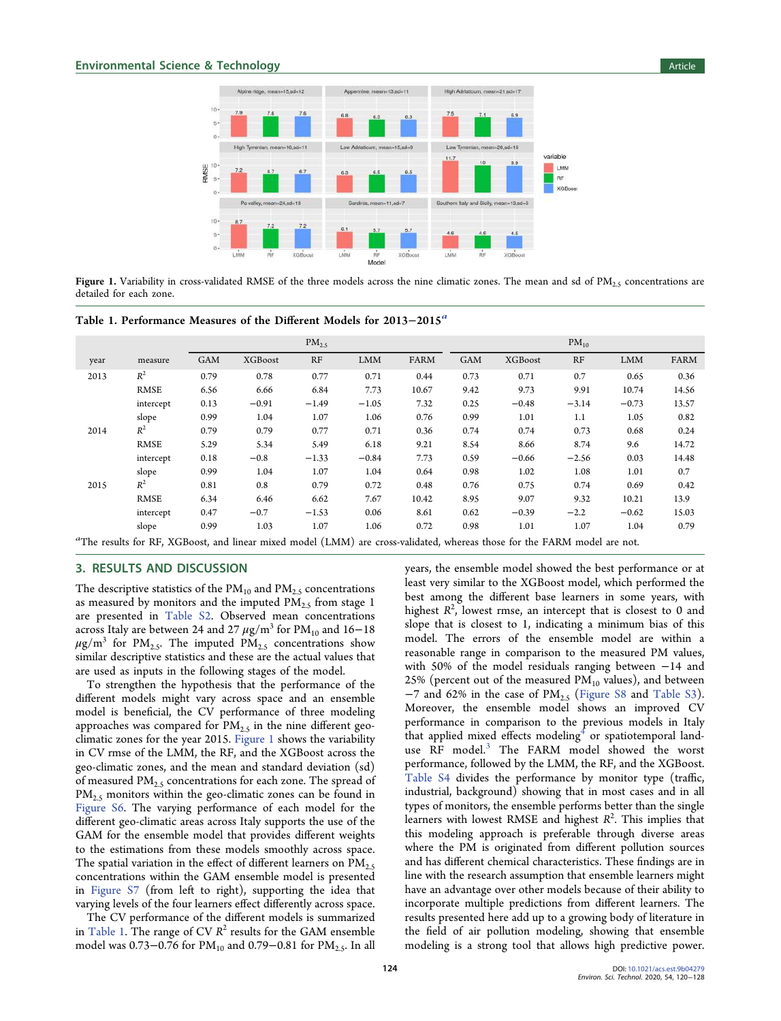

Figure 1. Variability in cross-validated RMSE of the three models across the nine climatic zones. The mean and sd of  $PM<sub>2.5</sub>$  concentrations are detailed for each zone.

| Table 1. Performance Measures of the Different Models for 2013–2015 <sup>a</sup> |  |  |  |  |
|----------------------------------------------------------------------------------|--|--|--|--|
|                                                                                  |  |  |  |  |

|      |             |            | $PM_{2.5}$ |           |            | $PM_{10}$ |            |         |         |            |       |
|------|-------------|------------|------------|-----------|------------|-----------|------------|---------|---------|------------|-------|
| year | measure     | <b>GAM</b> | XGBoost    | RF        | <b>LMM</b> | FARM      | <b>GAM</b> | XGBoost | RF      | <b>LMM</b> | FARM  |
| 2013 | $R^2$       | 0.79       | 0.78       | 0.77      | 0.71       | 0.44      | 0.73       | 0.71    | 0.7     | 0.65       | 0.36  |
|      | <b>RMSE</b> | 6.56       | 6.66       | 6.84      | 7.73       | 10.67     | 9.42       | 9.73    | 9.91    | 10.74      | 14.56 |
|      | intercept   | 0.13       | $-0.91$    | $-1.49$   | $-1.05$    | 7.32      | 0.25       | $-0.48$ | $-3.14$ | $-0.73$    | 13.57 |
|      | slope       | 0.99       | 1.04       | 1.07      | 1.06       | 0.76      | 0.99       | 1.01    | 1.1     | 1.05       | 0.82  |
| 2014 | $R^2$       | 0.79       | 0.79       | 0.77      | 0.71       | 0.36      | 0.74       | 0.74    | 0.73    | 0.68       | 0.24  |
|      | <b>RMSE</b> | 5.29       | 5.34       | 5.49      | 6.18       | 9.21      | 8.54       | 8.66    | 8.74    | 9.6        | 14.72 |
|      | intercept   | 0.18       | $-0.8$     | $-1.33$   | $-0.84$    | 7.73      | 0.59       | $-0.66$ | $-2.56$ | 0.03       | 14.48 |
|      | slope       | 0.99       | 1.04       | 1.07      | 1.04       | 0.64      | 0.98       | 1.02    | 1.08    | 1.01       | 0.7   |
| 2015 | $R^2$       | 0.81       | 0.8        | 0.79      | 0.72       | 0.48      | 0.76       | 0.75    | 0.74    | 0.69       | 0.42  |
|      | RMSE        | 6.34       | 6.46       | 6.62      | 7.67       | 10.42     | 8.95       | 9.07    | 9.32    | 10.21      | 13.9  |
|      | intercept   | 0.47       | $-0.7$     | $-1.53$   | 0.06       | 8.61      | 0.62       | $-0.39$ | $-2.2$  | $-0.62$    | 15.03 |
|      | slope       | 0.99       | 1.03       | 1.07<br>. | 1.06       | 0.72      | 0.98       | 1.01    | 1.07    | 1.04       | 0.79  |

 $a$ The results for RF, XGBoost, and linear mixed model (LMM) are cross-validated, whereas those for the FARM model are not.

# 3. RESULTS AND DISCUSSION

The descriptive statistics of the  $PM_{10}$  and  $PM_{2.5}$  concentrations as measured by monitors and the imputed  $PM<sub>2.5</sub>$  from stage 1 are presented in [Table S2](http://pubs.acs.org/doi/suppl/10.1021/acs.est.9b04279/suppl_file/es9b04279_si_001.pdf). Observed mean concentrations across Italy are between 24 and 27  $\mu$ g/m<sup>3</sup> for PM<sub>10</sub> and 16–18  $\mu$ g/m<sup>3</sup> for PM<sub>2.5</sub>. The imputed PM<sub>2.5</sub> concentrations show similar descriptive statistics and these are the actual values that are used as inputs in the following stages of the model.

To strengthen the hypothesis that the performance of the different models might vary across space and an ensemble model is beneficial, the CV performance of three modeling approaches was compared for  $PM_{2.5}$  in the nine different geoclimatic zones for the year 2015. Figure 1 shows the variability in CV rmse of the LMM, the RF, and the XGBoost across the geo-climatic zones, and the mean and standard deviation (sd) of measured  $PM_{2.5}$  concentrations for each zone. The spread of  $PM_{2.5}$  monitors within the geo-climatic zones can be found in [Figure S6](http://pubs.acs.org/doi/suppl/10.1021/acs.est.9b04279/suppl_file/es9b04279_si_001.pdf). The varying performance of each model for the different geo-climatic areas across Italy supports the use of the GAM for the ensemble model that provides different weights to the estimations from these models smoothly across space. The spatial variation in the effect of different learners on  $PM_{2.5}$ concentrations within the GAM ensemble model is presented in [Figure S7](http://pubs.acs.org/doi/suppl/10.1021/acs.est.9b04279/suppl_file/es9b04279_si_001.pdf) (from left to right), supporting the idea that varying levels of the four learners effect differently across space.

The CV performance of the different models is summarized in Table 1. The range of CV  $R^2$  results for the GAM ensemble model was 0.73–0.76 for  $PM_{10}$  and 0.79–0.81 for  $PM_{2.5}$ . In all years, the ensemble model showed the best performance or at least very similar to the XGBoost model, which performed the best among the different base learners in some years, with highest  $R^2$ , lowest rmse, an intercept that is closest to 0 and slope that is closest to 1, indicating a minimum bias of this model. The errors of the ensemble model are within a reasonable range in comparison to the measured PM values, with 50% of the model residuals ranging between −14 and 25% (percent out of the measured  $PM_{10}$  values), and between  $-7$  and 62% in the case of PM<sub>2.5</sub> [\(Figure S8](http://pubs.acs.org/doi/suppl/10.1021/acs.est.9b04279/suppl_file/es9b04279_si_001.pdf) and [Table S3](http://pubs.acs.org/doi/suppl/10.1021/acs.est.9b04279/suppl_file/es9b04279_si_001.pdf)). Moreover, the ensemble model shows an improved CV performance in comparison to the previous models in Italy that applied mixed effects modeling<sup>[4](#page-7-0)</sup> or spatiotemporal land-use RF model.<sup>[3](#page-7-0)</sup> The FARM model showed the worst performance, followed by the LMM, the RF, and the XGBoost. [Table S4](http://pubs.acs.org/doi/suppl/10.1021/acs.est.9b04279/suppl_file/es9b04279_si_001.pdf) divides the performance by monitor type (traffic, industrial, background) showing that in most cases and in all types of monitors, the ensemble performs better than the single learners with lowest RMSE and highest  $R^2$ . This implies that this modeling approach is preferable through diverse areas where the PM is originated from different pollution sources and has different chemical characteristics. These findings are in line with the research assumption that ensemble learners might have an advantage over other models because of their ability to incorporate multiple predictions from different learners. The results presented here add up to a growing body of literature in the field of air pollution modeling, showing that ensemble modeling is a strong tool that allows high predictive power.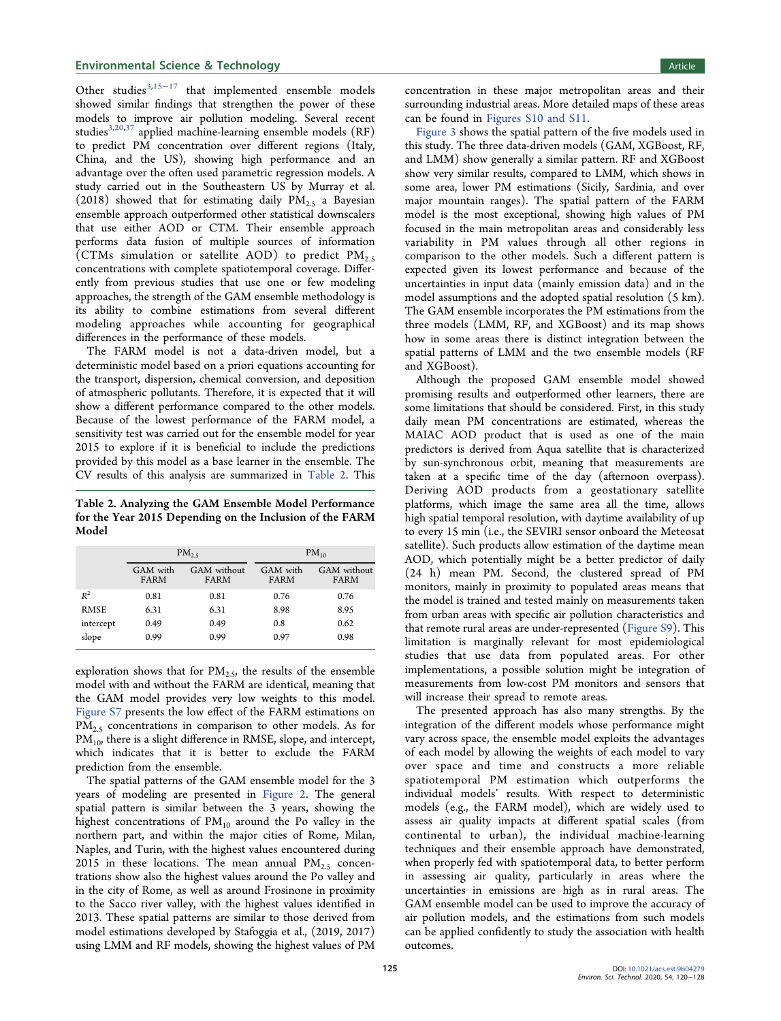Other studies $3,15-17$  $3,15-17$  $3,15-17$  $3,15-17$  $3,15-17$  that implemented ensemble models showed similar findings that strengthen the power of these models to improve air pollution modeling. Several recent studies<sup>[3](#page-7-0),[20,](#page-7-0)[37](#page-8-0)</sup> applied machine-learning ensemble models (RF) to predict PM concentration over different regions (Italy, China, and the US), showing high performance and an advantage over the often used parametric regression models. A study carried out in the Southeastern US by Murray et al. (2018) showed that for estimating daily  $PM_{2.5}$  a Bayesian ensemble approach outperformed other statistical downscalers that use either AOD or CTM. Their ensemble approach performs data fusion of multiple sources of information  $\text{(CTMs simulation or satellite AOD)}$  to predict  $\text{PM}_{2.5}$ concentrations with complete spatiotemporal coverage. Differently from previous studies that use one or few modeling approaches, the strength of the GAM ensemble methodology is its ability to combine estimations from several different modeling approaches while accounting for geographical differences in the performance of these models.

The FARM model is not a data-driven model, but a deterministic model based on a priori equations accounting for the transport, dispersion, chemical conversion, and deposition of atmospheric pollutants. Therefore, it is expected that it will show a different performance compared to the other models. Because of the lowest performance of the FARM model, a sensitivity test was carried out for the ensemble model for year 2015 to explore if it is beneficial to include the predictions provided by this model as a base learner in the ensemble. The CV results of this analysis are summarized in Table 2. This

Table 2. Analyzing the GAM Ensemble Model Performance for the Year 2015 Depending on the Inclusion of the FARM Model

|             |                  | $PM_{25}$           | $PM_{10}$        |                     |  |  |
|-------------|------------------|---------------------|------------------|---------------------|--|--|
|             | GAM with<br>FARM | GAM without<br>FARM | GAM with<br>FARM | GAM without<br>FARM |  |  |
| $R^2$       | 0.81             | 0.81                | 0.76             | 0.76                |  |  |
| <b>RMSE</b> | 6.31             | 6.31                | 8.98             | 8.95                |  |  |
| intercept   | 0.49             | 0.49                | 0.8              | 0.62                |  |  |
| slope       | 0.99             | 0.99                | 0.97             | 0.98                |  |  |

exploration shows that for  $PM_{2.5}$ , the results of the ensemble model with and without the FARM are identical, meaning that the GAM model provides very low weights to this model. [Figure S7](http://pubs.acs.org/doi/suppl/10.1021/acs.est.9b04279/suppl_file/es9b04279_si_001.pdf) presents the low effect of the FARM estimations on  $PM<sub>2.5</sub>$  concentrations in comparison to other models. As for PM<sub>10</sub>, there is a slight difference in RMSE, slope, and intercept, which indicates that it is better to exclude the FARM prediction from the ensemble.

The spatial patterns of the GAM ensemble model for the 3 years of modeling are presented in [Figure 2.](#page-6-0) The general spatial pattern is similar between the 3 years, showing the highest concentrations of  $PM_{10}$  around the Po valley in the northern part, and within the major cities of Rome, Milan, Naples, and Turin, with the highest values encountered during 2015 in these locations. The mean annual  $PM_{2.5}$  concentrations show also the highest values around the Po valley and in the city of Rome, as well as around Frosinone in proximity to the Sacco river valley, with the highest values identified in 2013. These spatial patterns are similar to those derived from model estimations developed by Stafoggia et al., (2019, 2017) using LMM and RF models, showing the highest values of PM

concentration in these major metropolitan areas and their surrounding industrial areas. More detailed maps of these areas can be found in [Figures S10 and S11](http://pubs.acs.org/doi/suppl/10.1021/acs.est.9b04279/suppl_file/es9b04279_si_001.pdf).

[Figure 3](#page-6-0) shows the spatial pattern of the five models used in this study. The three data-driven models (GAM, XGBoost, RF, and LMM) show generally a similar pattern. RF and XGBoost show very similar results, compared to LMM, which shows in some area, lower PM estimations (Sicily, Sardinia, and over major mountain ranges). The spatial pattern of the FARM model is the most exceptional, showing high values of PM focused in the main metropolitan areas and considerably less variability in PM values through all other regions in comparison to the other models. Such a different pattern is expected given its lowest performance and because of the uncertainties in input data (mainly emission data) and in the model assumptions and the adopted spatial resolution (5 km). The GAM ensemble incorporates the PM estimations from the three models (LMM, RF, and XGBoost) and its map shows how in some areas there is distinct integration between the spatial patterns of LMM and the two ensemble models (RF and XGBoost).

Although the proposed GAM ensemble model showed promising results and outperformed other learners, there are some limitations that should be considered. First, in this study daily mean PM concentrations are estimated, whereas the MAIAC AOD product that is used as one of the main predictors is derived from Aqua satellite that is characterized by sun-synchronous orbit, meaning that measurements are taken at a specific time of the day (afternoon overpass). Deriving AOD products from a geostationary satellite platforms, which image the same area all the time, allows high spatial temporal resolution, with daytime availability of up to every 15 min (i.e., the SEVIRI sensor onboard the Meteosat satellite). Such products allow estimation of the daytime mean AOD, which potentially might be a better predictor of daily (24 h) mean PM. Second, the clustered spread of PM monitors, mainly in proximity to populated areas means that the model is trained and tested mainly on measurements taken from urban areas with specific air pollution characteristics and that remote rural areas are under-represented ([Figure S9\)](http://pubs.acs.org/doi/suppl/10.1021/acs.est.9b04279/suppl_file/es9b04279_si_001.pdf). This limitation is marginally relevant for most epidemiological studies that use data from populated areas. For other implementations, a possible solution might be integration of measurements from low-cost PM monitors and sensors that will increase their spread to remote areas.

The presented approach has also many strengths. By the integration of the different models whose performance might vary across space, the ensemble model exploits the advantages of each model by allowing the weights of each model to vary over space and time and constructs a more reliable spatiotemporal PM estimation which outperforms the individual models' results. With respect to deterministic models (e.g., the FARM model), which are widely used to assess air quality impacts at different spatial scales (from continental to urban), the individual machine-learning techniques and their ensemble approach have demonstrated, when properly fed with spatiotemporal data, to better perform in assessing air quality, particularly in areas where the uncertainties in emissions are high as in rural areas. The GAM ensemble model can be used to improve the accuracy of air pollution models, and the estimations from such models can be applied confidently to study the association with health outcomes.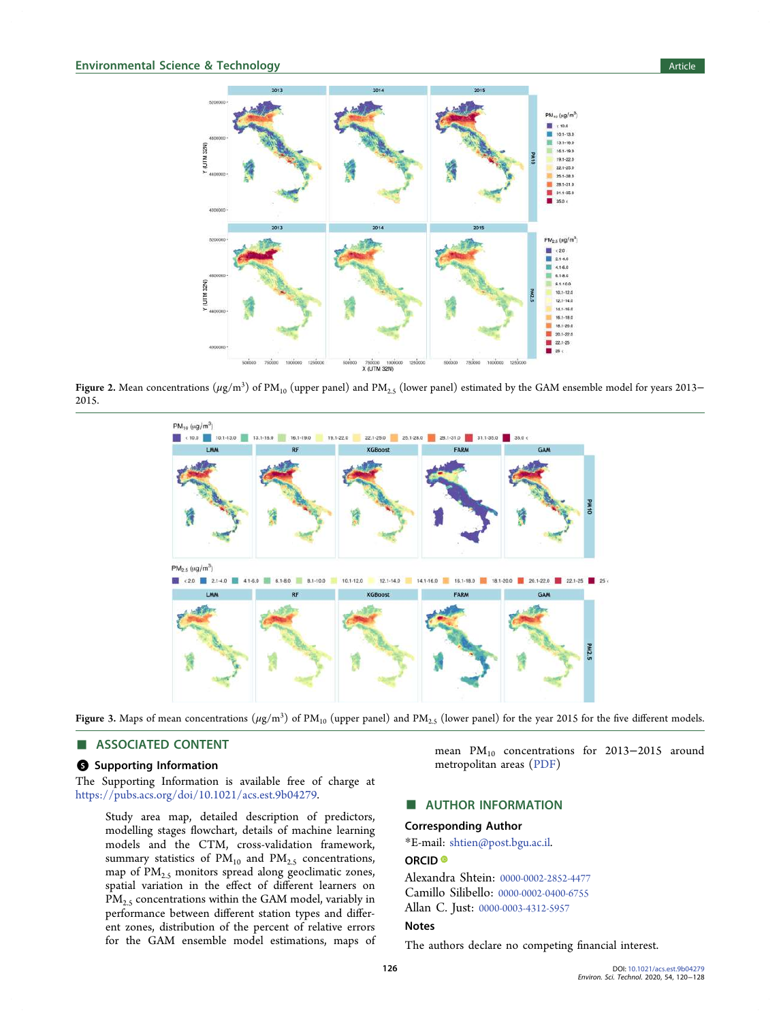<span id="page-6-0"></span>

Figure 2. Mean concentrations  $(\mu\mathrm{g/m^3})$  of PM<sub>10</sub> (upper panel) and PM<sub>2.5</sub> (lower panel) estimated by the GAM ensemble model for years 2013− 2015.



Figure 3. Maps of mean concentrations  $(\mu$ g/m<sup>3</sup>) of PM<sub>10</sub> (upper panel) and PM<sub>2.5</sub> (lower panel) for the year 2015 for the five different models.

#### ■ ASSOCIATED CONTENT

# **6** Supporting Information

The Supporting Information is available free of charge at [https://pubs.acs.org/doi/10.1021/acs.est.9b04279.](https://pubs.acs.org/doi/10.1021/acs.est.9b04279?goto=supporting-info)

Study area map, detailed description of predictors, modelling stages flowchart, details of machine learning models and the CTM, cross-validation framework, summary statistics of  $PM_{10}$  and  $PM_{2.5}$  concentrations, map of  $PM_{2.5}$  monitors spread along geoclimatic zones, spatial variation in the effect of different learners on PM<sub>2.5</sub> concentrations within the GAM model, variably in performance between different station types and different zones, distribution of the percent of relative errors for the GAM ensemble model estimations, maps of mean PM<sub>10</sub> concentrations for 2013–2015 around metropolitan areas ([PDF](http://pubs.acs.org/doi/suppl/10.1021/acs.est.9b04279/suppl_file/es9b04279_si_001.pdf))

# ■ AUTHOR INFORMATION

#### Corresponding Author

\*E-mail: [shtien@post.bgu.ac.il.](mailto:shtien@post.bgu.ac.il)

## ORCID<sup>®</sup>

Alexandra Shtein: [0000-0002-2852-4477](http://orcid.org/0000-0002-2852-4477) Camillo Silibello: [0000-0002-0400-6755](http://orcid.org/0000-0002-0400-6755) Allan C. Just: [0000-0003-4312-5957](http://orcid.org/0000-0003-4312-5957)

## Notes

The authors declare no competing financial interest.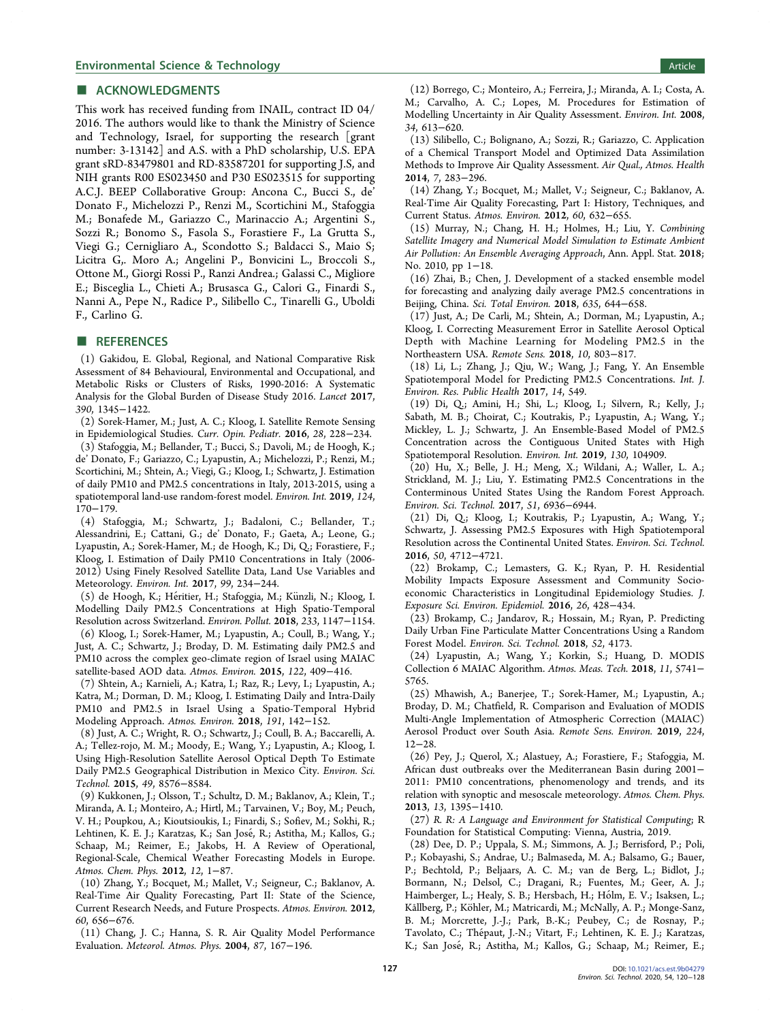#### <span id="page-7-0"></span>■ ACKNOWLEDGMENTS

This work has received funding from INAIL, contract ID 04/ 2016. The authors would like to thank the Ministry of Science and Technology, Israel, for supporting the research [grant number: 3-13142] and A.S. with a PhD scholarship, U.S. EPA grant sRD-83479801 and RD-83587201 for supporting J.S, and NIH grants R00 ES023450 and P30 ES023515 for supporting A.C.J. BEEP Collaborative Group: Ancona C., Bucci S., de' Donato F., Michelozzi P., Renzi M., Scortichini M., Stafoggia M.; Bonafede M., Gariazzo C., Marinaccio A.; Argentini S., Sozzi R.; Bonomo S., Fasola S., Forastiere F., La Grutta S., Viegi G.; Cernigliaro A., Scondotto S.; Baldacci S., Maio S; Licitra G,. Moro A.; Angelini P., Bonvicini L., Broccoli S., Ottone M., Giorgi Rossi P., Ranzi Andrea.; Galassi C., Migliore E.; Bisceglia L., Chieti A.; Brusasca G., Calori G., Finardi S., Nanni A., Pepe N., Radice P., Silibello C., Tinarelli G., Uboldi F., Carlino G.

#### ■ REFERENCES

(1) Gakidou, E. Global, Regional, and National Comparative Risk Assessment of 84 Behavioural, Environmental and Occupational, and Metabolic Risks or Clusters of Risks, 1990-2016: A Systematic Analysis for the Global Burden of Disease Study 2016. Lancet 2017, 390, 1345−1422.

(2) Sorek-Hamer, M.; Just, A. C.; Kloog, I. Satellite Remote Sensing in Epidemiological Studies. Curr. Opin. Pediatr. 2016, 28, 228−234.

(3) Stafoggia, M.; Bellander, T.; Bucci, S.; Davoli, M.; de Hoogh, K.; de' Donato, F.; Gariazzo, C.; Lyapustin, A.; Michelozzi, P.; Renzi, M.; Scortichini, M.; Shtein, A.; Viegi, G.; Kloog, I.; Schwartz, J. Estimation of daily PM10 and PM2.5 concentrations in Italy, 2013-2015, using a spatiotemporal land-use random-forest model. Environ. Int. 2019, 124, 170−179.

(4) Stafoggia, M.; Schwartz, J.; Badaloni, C.; Bellander, T.; Alessandrini, E.; Cattani, G.; de' Donato, F.; Gaeta, A.; Leone, G.; Lyapustin, A.; Sorek-Hamer, M.; de Hoogh, K.; Di, Q.; Forastiere, F.; Kloog, I. Estimation of Daily PM10 Concentrations in Italy (2006- 2012) Using Finely Resolved Satellite Data, Land Use Variables and Meteorology. Environ. Int. 2017, 99, 234−244.

(5) de Hoogh, K.; Héritier, H.; Stafoggia, M.; Künzli, N.; Kloog, I. Modelling Daily PM2.5 Concentrations at High Spatio-Temporal Resolution across Switzerland. Environ. Pollut. 2018, 233, 1147−1154.

(6) Kloog, I.; Sorek-Hamer, M.; Lyapustin, A.; Coull, B.; Wang, Y.; Just, A. C.; Schwartz, J.; Broday, D. M. Estimating daily PM2.5 and PM10 across the complex geo-climate region of Israel using MAIAC satellite-based AOD data. Atmos. Environ. 2015, 122, 409−416.

(7) Shtein, A.; Karnieli, A.; Katra, I.; Raz, R.; Levy, I.; Lyapustin, A.; Katra, M.; Dorman, D. M.; Kloog, I. Estimating Daily and Intra-Daily PM10 and PM2.5 in Israel Using a Spatio-Temporal Hybrid Modeling Approach. Atmos. Environ. 2018, 191, 142−152.

(8) Just, A. C.; Wright, R. O.; Schwartz, J.; Coull, B. A.; Baccarelli, A. A.; Tellez-rojo, M. M.; Moody, E.; Wang, Y.; Lyapustin, A.; Kloog, I. Using High-Resolution Satellite Aerosol Optical Depth To Estimate Daily PM2.5 Geographical Distribution in Mexico City. Environ. Sci. Technol. 2015, 49, 8576−8584.

(9) Kukkonen, J.; Olsson, T.; Schultz, D. M.; Baklanov, A.; Klein, T.; Miranda, A. I.; Monteiro, A.; Hirtl, M.; Tarvainen, V.; Boy, M.; Peuch, V. H.; Poupkou, A.; Kioutsioukis, I.; Finardi, S.; Sofiev, M.; Sokhi, R.; Lehtinen, K. E. J.; Karatzas, K.; San José, R.; Astitha, M.; Kallos, G.; Schaap, M.; Reimer, E.; Jakobs, H. A Review of Operational, Regional-Scale, Chemical Weather Forecasting Models in Europe. Atmos. Chem. Phys. 2012, 12, 1-87.

(10) Zhang, Y.; Bocquet, M.; Mallet, V.; Seigneur, C.; Baklanov, A. Real-Time Air Quality Forecasting, Part II: State of the Science, Current Research Needs, and Future Prospects. Atmos. Environ. 2012, 60, 656−676.

(11) Chang, J. C.; Hanna, S. R. Air Quality Model Performance Evaluation. Meteorol. Atmos. Phys. 2004, 87, 167−196.

(12) Borrego, C.; Monteiro, A.; Ferreira, J.; Miranda, A. I.; Costa, A. M.; Carvalho, A. C.; Lopes, M. Procedures for Estimation of Modelling Uncertainty in Air Quality Assessment. Environ. Int. 2008, 34, 613−620.

(13) Silibello, C.; Bolignano, A.; Sozzi, R.; Gariazzo, C. Application of a Chemical Transport Model and Optimized Data Assimilation Methods to Improve Air Quality Assessment. Air Qual., Atmos. Health 2014, 7, 283−296.

(14) Zhang, Y.; Bocquet, M.; Mallet, V.; Seigneur, C.; Baklanov, A. Real-Time Air Quality Forecasting, Part I: History, Techniques, and Current Status. Atmos. Environ. 2012, 60, 632−655.

(15) Murray, N.; Chang, H. H.; Holmes, H.; Liu, Y. Combining Satellite Imagery and Numerical Model Simulation to Estimate Ambient Air Pollution: An Ensemble Averaging Approach, Ann. Appl. Stat. 2018; No. 2010, pp 1−18.

(16) Zhai, B.; Chen, J. Development of a stacked ensemble model for forecasting and analyzing daily average PM2.5 concentrations in Beijing, China. Sci. Total Environ. 2018, 635, 644−658.

(17) Just, A.; De Carli, M.; Shtein, A.; Dorman, M.; Lyapustin, A.; Kloog, I. Correcting Measurement Error in Satellite Aerosol Optical Depth with Machine Learning for Modeling PM2.5 in the Northeastern USA. Remote Sens. 2018, 10, 803−817.

(18) Li, L.; Zhang, J.; Qiu, W.; Wang, J.; Fang, Y. An Ensemble Spatiotemporal Model for Predicting PM2.5 Concentrations. Int. J. Environ. Res. Public Health 2017, 14, 549.

(19) Di, Q.; Amini, H.; Shi, L.; Kloog, I.; Silvern, R.; Kelly, J.; Sabath, M. B.; Choirat, C.; Koutrakis, P.; Lyapustin, A.; Wang, Y.; Mickley, L. J.; Schwartz, J. An Ensemble-Based Model of PM2.5 Concentration across the Contiguous United States with High Spatiotemporal Resolution. Environ. Int. 2019, 130, 104909.

(20) Hu, X.; Belle, J. H.; Meng, X.; Wildani, A.; Waller, L. A.; Strickland, M. J.; Liu, Y. Estimating PM2.5 Concentrations in the Conterminous United States Using the Random Forest Approach. Environ. Sci. Technol. 2017, 51, 6936−6944.

(21) Di, Q.; Kloog, I.; Koutrakis, P.; Lyapustin, A.; Wang, Y.; Schwartz, J. Assessing PM2.5 Exposures with High Spatiotemporal Resolution across the Continental United States. Environ. Sci. Technol. 2016, 50, 4712−4721.

(22) Brokamp, C.; Lemasters, G. K.; Ryan, P. H. Residential Mobility Impacts Exposure Assessment and Community Socioeconomic Characteristics in Longitudinal Epidemiology Studies. J. Exposure Sci. Environ. Epidemiol. 2016, 26, 428−434.

(23) Brokamp, C.; Jandarov, R.; Hossain, M.; Ryan, P. Predicting Daily Urban Fine Particulate Matter Concentrations Using a Random Forest Model. Environ. Sci. Technol. 2018, 52, 4173.

(24) Lyapustin, A.; Wang, Y.; Korkin, S.; Huang, D. MODIS Collection 6 MAIAC Algorithm. Atmos. Meas. Tech. 2018, 11, 5741− 5765.

(25) Mhawish, A.; Banerjee, T.; Sorek-Hamer, M.; Lyapustin, A.; Broday, D. M.; Chatfield, R. Comparison and Evaluation of MODIS Multi-Angle Implementation of Atmospheric Correction (MAIAC) Aerosol Product over South Asia. Remote Sens. Environ. 2019, 224, 12−28.

(26) Pey, J.; Querol, X.; Alastuey, A.; Forastiere, F.; Stafoggia, M. African dust outbreaks over the Mediterranean Basin during 2001− 2011: PM10 concentrations, phenomenology and trends, and its relation with synoptic and mesoscale meteorology. Atmos. Chem. Phys. 2013, 13, 1395−1410.

(27) R. R: A Language and Environment for Statistical Computing; R Foundation for Statistical Computing: Vienna, Austria, 2019.

(28) Dee, D. P.; Uppala, S. M.; Simmons, A. J.; Berrisford, P.; Poli, P.; Kobayashi, S.; Andrae, U.; Balmaseda, M. A.; Balsamo, G.; Bauer, P.; Bechtold, P.; Beljaars, A. C. M.; van de Berg, L.; Bidlot, J.; Bormann, N.; Delsol, C.; Dragani, R.; Fuentes, M.; Geer, A. J.; Haimberger, L.; Healy, S. B.; Hersbach, H.; Hólm, E. V.; Isaksen, L.; Kållberg, P.; Köhler, M.; Matricardi, M.; McNally, A. P.; Monge-Sanz, B. M.; Morcrette, J.-J.; Park, B.-K.; Peubey, C.; de Rosnay, P.; Tavolato, C.; Thépaut, J.-N.; Vitart, F.; Lehtinen, K. E. J.; Karatzas, K.; San José, R.; Astitha, M.; Kallos, G.; Schaap, M.; Reimer, E.;